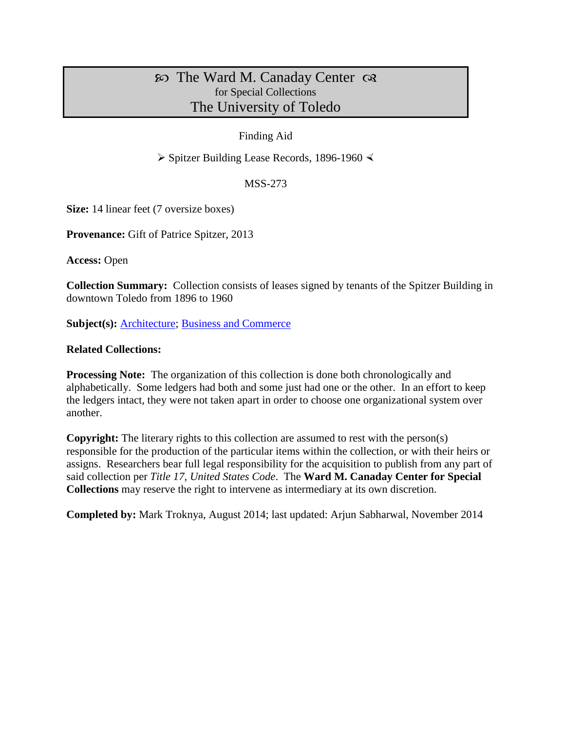# The Ward M. Canaday Center for Special Collections The University of Toledo

## Finding Aid

 $\triangleright$  Spitzer Building Lease Records, 1896-1960  $\triangleleft$ 

### MSS-273

**Size:** 14 linear feet (7 oversize boxes)

**Provenance:** Gift of Patrice Spitzer, 2013

**Access:** Open

**Collection Summary:** Collection consists of leases signed by tenants of the Spitzer Building in downtown Toledo from 1896 to 1960

**Subject(s): [Architecture;](http://www.utoledo.edu/library/canaday/guidepages/arch.html) [Business and Commerce](http://www.utoledo.edu/library/canaday/guidepages/business.html)** 

### **Related Collections:**

**Processing Note:** The organization of this collection is done both chronologically and alphabetically. Some ledgers had both and some just had one or the other. In an effort to keep the ledgers intact, they were not taken apart in order to choose one organizational system over another.

**Copyright:** The literary rights to this collection are assumed to rest with the person(s) responsible for the production of the particular items within the collection, or with their heirs or assigns. Researchers bear full legal responsibility for the acquisition to publish from any part of said collection per *Title 17, United States Code*. The **Ward M. Canaday Center for Special Collections** may reserve the right to intervene as intermediary at its own discretion.

**Completed by:** Mark Troknya, August 2014; last updated: Arjun Sabharwal, November 2014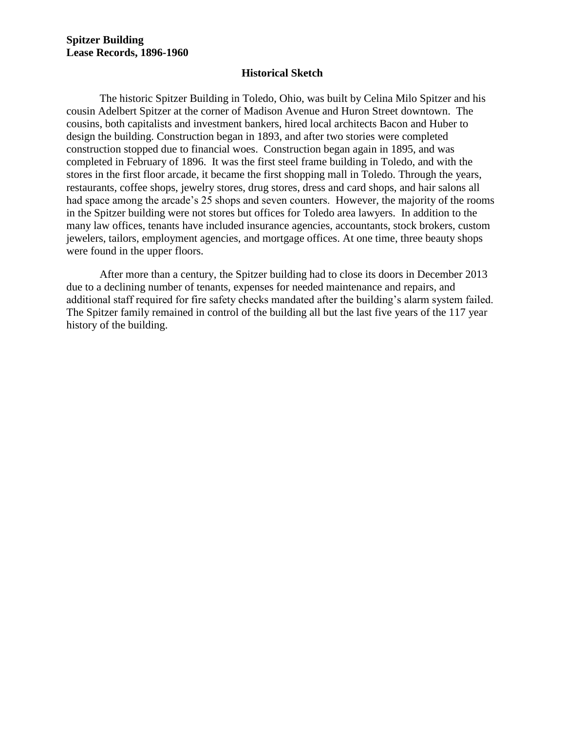#### **Historical Sketch**

The historic Spitzer Building in Toledo, Ohio, was built by Celina Milo Spitzer and his cousin Adelbert Spitzer at the corner of Madison Avenue and Huron Street downtown. The cousins, both capitalists and investment bankers, hired local architects Bacon and Huber to design the building. Construction began in 1893, and after two stories were completed construction stopped due to financial woes. Construction began again in 1895, and was completed in February of 1896. It was the first steel frame building in Toledo, and with the stores in the first floor arcade, it became the first shopping mall in Toledo. Through the years, restaurants, coffee shops, jewelry stores, drug stores, dress and card shops, and hair salons all had space among the arcade's 25 shops and seven counters. However, the majority of the rooms in the Spitzer building were not stores but offices for Toledo area lawyers. In addition to the many law offices, tenants have included insurance agencies, accountants, stock brokers, custom jewelers, tailors, employment agencies, and mortgage offices. At one time, three beauty shops were found in the upper floors.

After more than a century, the Spitzer building had to close its doors in December 2013 due to a declining number of tenants, expenses for needed maintenance and repairs, and additional staff required for fire safety checks mandated after the building's alarm system failed. The Spitzer family remained in control of the building all but the last five years of the 117 year history of the building.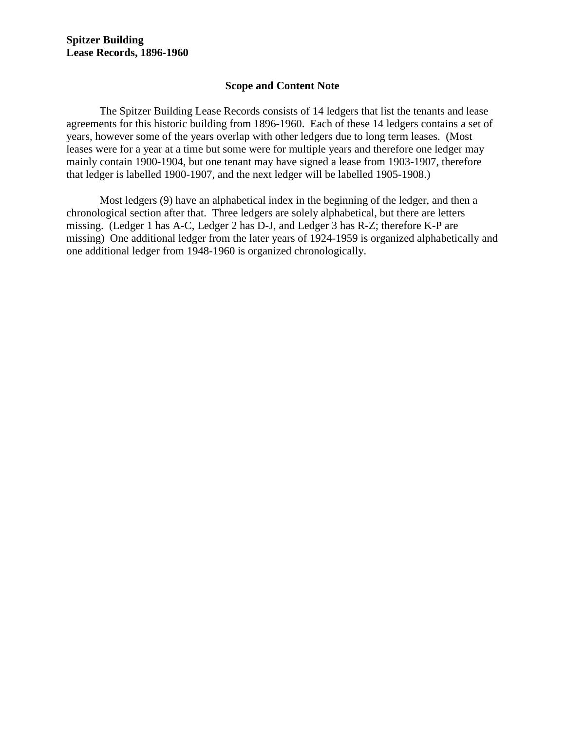## **Scope and Content Note**

The Spitzer Building Lease Records consists of 14 ledgers that list the tenants and lease agreements for this historic building from 1896-1960. Each of these 14 ledgers contains a set of years, however some of the years overlap with other ledgers due to long term leases. (Most leases were for a year at a time but some were for multiple years and therefore one ledger may mainly contain 1900-1904, but one tenant may have signed a lease from 1903-1907, therefore that ledger is labelled 1900-1907, and the next ledger will be labelled 1905-1908.)

Most ledgers (9) have an alphabetical index in the beginning of the ledger, and then a chronological section after that. Three ledgers are solely alphabetical, but there are letters missing. (Ledger 1 has A-C, Ledger 2 has D-J, and Ledger 3 has R-Z; therefore K-P are missing) One additional ledger from the later years of 1924-1959 is organized alphabetically and one additional ledger from 1948-1960 is organized chronologically.